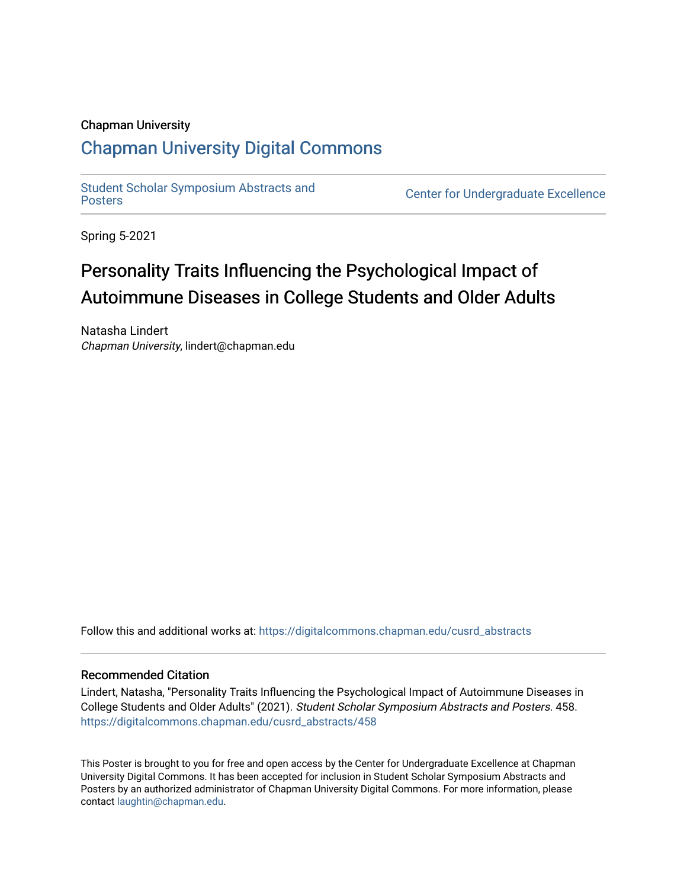### Chapman University

### [Chapman University Digital Commons](https://digitalcommons.chapman.edu/)

[Student Scholar Symposium Abstracts and](https://digitalcommons.chapman.edu/cusrd_abstracts) 

**Center for Undergraduate Excellence** 

Spring 5-2021

### Personality Traits Influencing the Psychological Impact of Autoimmune Diseases in College Students and Older Adults

Natasha Lindert Chapman University, lindert@chapman.edu

Follow this and additional works at: [https://digitalcommons.chapman.edu/cusrd\\_abstracts](https://digitalcommons.chapman.edu/cusrd_abstracts?utm_source=digitalcommons.chapman.edu%2Fcusrd_abstracts%2F458&utm_medium=PDF&utm_campaign=PDFCoverPages) 

### Recommended Citation

Lindert, Natasha, "Personality Traits Influencing the Psychological Impact of Autoimmune Diseases in College Students and Older Adults" (2021). Student Scholar Symposium Abstracts and Posters. 458. [https://digitalcommons.chapman.edu/cusrd\\_abstracts/458](https://digitalcommons.chapman.edu/cusrd_abstracts/458?utm_source=digitalcommons.chapman.edu%2Fcusrd_abstracts%2F458&utm_medium=PDF&utm_campaign=PDFCoverPages) 

This Poster is brought to you for free and open access by the Center for Undergraduate Excellence at Chapman University Digital Commons. It has been accepted for inclusion in Student Scholar Symposium Abstracts and Posters by an authorized administrator of Chapman University Digital Commons. For more information, please contact [laughtin@chapman.edu](mailto:laughtin@chapman.edu).